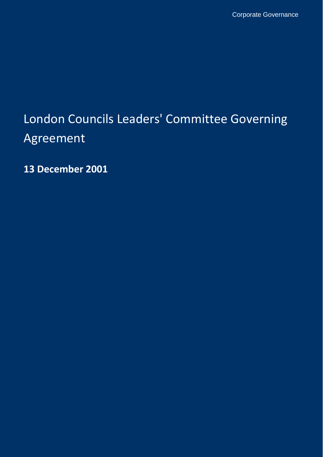# London Councils Leaders' Committee Governing Agreement

**13 December 2001**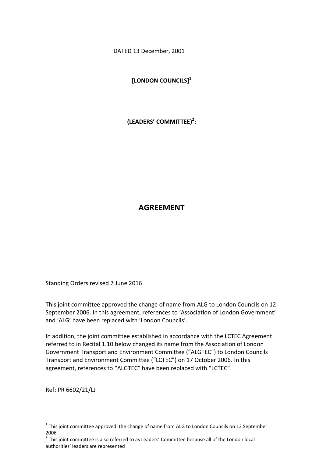DATED 13 December, 2001

**[LONDON COUNCILS] 1**

**(LEADERS' COMMITTEE) 2 :**

# **AGREEMENT**

Standing Orders revised 7 June 2016

This joint committee approved the change of name from ALG to London Councils on 12 September 2006. In this agreement, references to 'Association of London Government' and 'ALG' have been replaced with 'London Councils'.

In addition, the joint committee established in accordance with the LCTEC Agreement referred to in Recital 1.10 below changed its name from the Association of London Government Transport and Environment Committee ("ALGTEC") to London Councils Transport and Environment Committee ("LCTEC") on 17 October 2006. In this agreement, references to "ALGTEC" have been replaced with "LCTEC".

Ref: PR 6602/21/LJ

 $\overline{\phantom{a}}$ 

 $1$  This joint committee approved the change of name from ALG to London Councils on 12 September 2006

 $2$  This joint committee is also referred to as Leaders' Committee because all of the London local authorities' leaders are represented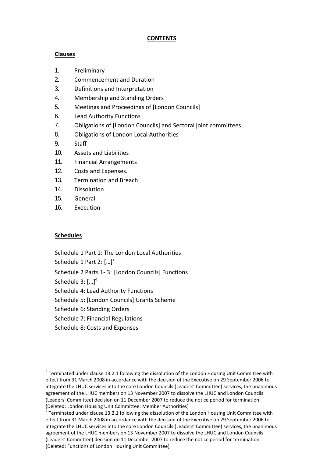## **CONTENTS**

## **Clauses**

- 1. Preliminary
- 2. Commencement and Duration
- 3. Definitions and Interpretation
- 4. Membership and Standing Orders
- 5. Meetings and Proceedings of [London Councils]
- 6. Lead Authority Functions
- 7. Obligations of [London Councils] and Sectoral joint committees
- 8. Obligations of London Local Authorities
- 9. Staff
- 10. Assets and Liabilities
- 11. Financial Arrangements
- 12. Costs and Expenses.
- 13. Termination and Breach
- 14. Dissolution
- 15. General
- 16. Execution

## **Schedules**

Schedule 1 Part 1: The London Local Authorities

Schedule 1 Part 2:  $\left[...\right]^{3}$ 

Schedule 2 Parts 1- 3: [London Councils] Functions

Schedule 3:  $\left[ ...\right] ^{4}$ 

 $\overline{a}$ 

Schedule 4: Lead Authority Functions

Schedule 5: [London Councils] Grants Scheme

Schedule 6: Standing Orders

Schedule 7: Financial Regulations

Schedule 8: Costs and Expenses

 $3$  Terminated under clause 13.2.1 following the dissolution of the London Housing Unit Committee with effect from 31 March 2008 in accordance with the decision of the Executive on 29 September 2006 to integrate the LHUC services into the core London Councils (Leaders' Committee) services, the unanimous agreement of the LHUC members on 13 November 2007 to dissolve the LHUC and London Councils (Leaders' Committee) decision on 11 December 2007 to reduce the notice period for termination. [Deleted: London Housing Unit Committee: Member Authorities]

 $^4$  Terminated under clause 13.2.1 following the dissolution of the London Housing Unit Committee with effect from 31 March 2008 in accordance with the decision of the Executive on 29 September 2006 to integrate the LHUC services into the core London Councils (Leaders' Committee) services, the unanimous agreement of the LHUC members on 13 November 2007 to dissolve the LHUC and London Councils (Leaders' Committee) decision on 11 December 2007 to reduce the notice period for termination. [Deleted: Functions of London Housing Unit Committee]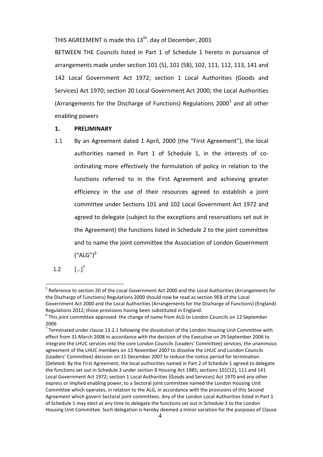THIS AGREEMENT is made this 13<sup>th</sup>. day of December, 2001

BETWEEN THE Councils listed in Part 1 of Schedule 1 hereto in pursuance of arrangements made under section 101 (5), 101 (5B), 102, 111, 112, 113, 141 and 142 Local Government Act 1972; section 1 Local Authorities (Goods and Services) Act 1970; section 20 Local Government Act 2000; the Local Authorities (Arrangements for the Discharge of Functions) Regulations 2000<sup>5</sup> and all other enabling powers

#### **1. PRELIMINARY**

- 1.1 By an Agreement dated 1 April, 2000 (the "First Agreement"), the local authorities named in Part 1 of Schedule 1, in the interests of coordinating more effectively the formulation of policy in relation to the functions referred to in the First Agreement and achieving greater efficiency in the use of their resources agreed to establish a joint committee under Sections 101 and 102 Local Government Act 1972 and agreed to delegate (subject to the exceptions and reservations set out in the Agreement) the functions listed in Schedule 2 to the joint committee and to name the joint committee the Association of London Government  $("ALG")^6$
- $1.2$  $\left[ \ldots \right]^7$

<sup>&</sup>lt;sup>5</sup> Reference to section 20 of the Local Government Act 2000 and the Local Authorities (Arrangements for the Discharge of Functions) Regulations 2000 should now be read as section 9EB of the Local Government Act 2000 and the Local Authorities (Arrangements for the Discharge of Functions) (England) Regulations 2012; those provisions having been substituted in England.

 $<sup>6</sup>$ This joint committee approved the change of name from ALG to London Councils on 12 September</sup> 2006

<sup>&</sup>lt;sup>7</sup> Terminated under clause 13.2.1 following the dissolution of the London Housing Unit Committee with effect from 31 March 2008 in accordance with the decision of the Executive on 29 September 2006 to integrate the LHUC services into the core London Councils (Leaders' Committee) services, the unanimous agreement of the LHUC members on 13 November 2007 to dissolve the LHUC and London Councils (Leaders' Committee) decision on 11 December 2007 to reduce the notice period for termination. [Deleted: By the First Agreement, the local authorities named in Part 2 of Schedule 1 agreed to delegate the functions set out in Schedule 3 under section 8 Housing Act 1985; sections 101(12), 111 and 141 Local Government Act 1972; section 1 Local Authorities (Goods and Services) Act 1970 and any other express or implied enabling power, to a Sectoral joint committee named the London Housing Unit Committee which operates, in relation to the ALG, in accordance with the provisions of this Second Agreement which govern Sectoral joint committees. Any of the London Local Authorities listed in Part 1 of Schedule 1 may elect at any time to delegate the functions set out in Schedule 3 to the London Housing Unit Committee. Such delegation is hereby deemed a minor variation for the purposes of Clause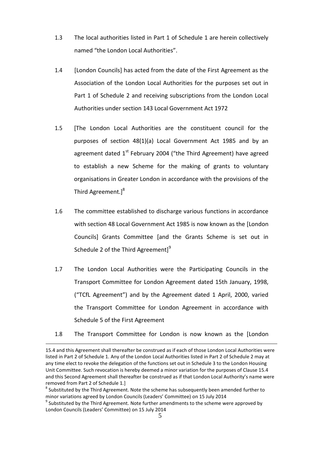- 1.3 The local authorities listed in Part 1 of Schedule 1 are herein collectively named "the London Local Authorities".
- 1.4 [London Councils] has acted from the date of the First Agreement as the Association of the London Local Authorities for the purposes set out in Part 1 of Schedule 2 and receiving subscriptions from the London Local Authorities under section 143 Local Government Act 1972
- 1.5 [The London Local Authorities are the constituent council for the purposes of section 48(1)(a) Local Government Act 1985 and by an agreement dated  $1<sup>st</sup>$  February 2004 ("the Third Agreement) have agreed to establish a new Scheme for the making of grants to voluntary organisations in Greater London in accordance with the provisions of the Third Agreement.]<sup>8</sup>
- 1.6 The committee established to discharge various functions in accordance with section 48 Local Government Act 1985 is now known as the [London Councils] Grants Committee [and the Grants Scheme is set out in Schedule 2 of the Third Agreement] $9$
- 1.7 The London Local Authorities were the Participating Councils in the Transport Committee for London Agreement dated 15th January, 1998, ("TCfL Agreement") and by the Agreement dated 1 April, 2000, varied the Transport Committee for London Agreement in accordance with Schedule 5 of the First Agreement
- 1.8 The Transport Committee for London is now known as the [London

<sup>15.4</sup> and this Agreement shall thereafter be construed as if each of those London Local Authorities were listed in Part 2 of Schedule 1. Any of the London Local Authorities listed in Part 2 of Schedule 2 may at any time elect to revoke the delegation of the functions set out in Schedule 3 to the London Housing Unit Committee. Such revocation is hereby deemed a minor variation for the purposes of Clause 15.4 and this Second Agreement shall thereafter be construed as if that London Local Authority's name were removed from Part 2 of Schedule 1.]

 $^8$  Substituted by the Third Agreement. Note the scheme has subsequently been amended further to minor variations agreed by London Councils (Leaders' Committee) on 15 July 2014

 $^9$  Substituted by the Third Agreement. Note further amendments to the scheme were approved by London Councils (Leaders' Committee) on 15 July 2014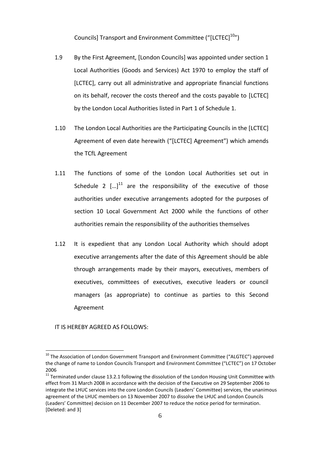Councils] Transport and Environment Committee ("[LCTEC]<sup>10</sup>")

- 1.9 By the First Agreement, [London Councils] was appointed under section 1 Local Authorities (Goods and Services) Act 1970 to employ the staff of [LCTEC], carry out all administrative and appropriate financial functions on its behalf, recover the costs thereof and the costs payable to [LCTEC] by the London Local Authorities listed in Part 1 of Schedule 1.
- 1.10 The London Local Authorities are the Participating Councils in the [LCTEC] Agreement of even date herewith ("[LCTEC] Agreement") which amends the TCfL Agreement
- 1.11 The functions of some of the London Local Authorities set out in Schedule 2  $\left[ \ldots \right]^{11}$  are the responsibility of the executive of those authorities under executive arrangements adopted for the purposes of section 10 Local Government Act 2000 while the functions of other authorities remain the responsibility of the authorities themselves
- 1.12 It is expedient that any London Local Authority which should adopt executive arrangements after the date of this Agreement should be able through arrangements made by their mayors, executives, members of executives, committees of executives, executive leaders or council managers (as appropriate) to continue as parties to this Second Agreement

IT IS HEREBY AGREED AS FOLLOWS:

 $10$  The Association of London Government Transport and Environment Committee ("ALGTEC") approved the change of name to London Councils Transport and Environment Committee ("LCTEC") on 17 October 2006

 $11$  Terminated under clause 13.2.1 following the dissolution of the London Housing Unit Committee with effect from 31 March 2008 in accordance with the decision of the Executive on 29 September 2006 to integrate the LHUC services into the core London Councils (Leaders' Committee) services, the unanimous agreement of the LHUC members on 13 November 2007 to dissolve the LHUC and London Councils (Leaders' Committee) decision on 11 December 2007 to reduce the notice period for termination. [Deleted: and 3]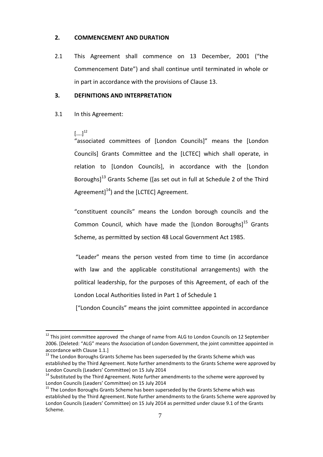#### **2. COMMENCEMENT AND DURATION**

2.1 This Agreement shall commence on 13 December, 2001 ("the Commencement Date") and shall continue until terminated in whole or in part in accordance with the provisions of Clause 13.

#### **3. DEFINITIONS AND INTERPRETATION**

3.1 In this Agreement:

#### $[...]^{12}$

 $\overline{a}$ 

"associated committees of [London Councils]" means the [London Councils] Grants Committee and the [LCTEC] which shall operate, in relation to [London Councils], in accordance with the [London Boroughs]<sup>13</sup> Grants Scheme ([as set out in full at Schedule 2 of the Third Agreement] $^{14}$ ) and the [LCTEC] Agreement.

"constituent councils" means the London borough councils and the Common Council, which have made the [London Boroughs]<sup>15</sup> Grants Scheme, as permitted by section 48 Local Government Act 1985.

"Leader" means the person vested from time to time (in accordance with law and the applicable constitutional arrangements) with the political leadership, for the purposes of this Agreement, of each of the London Local Authorities listed in Part 1 of Schedule 1

["London Councils" means the joint committee appointed in accordance

 $12$  This joint committee approved the change of name from ALG to London Councils on 12 September 2006. [Deleted: "ALG" means the Association of London Government, the joint committee appointed in accordance with Clause 1.1.]

<sup>&</sup>lt;sup>13</sup> The London Boroughs Grants Scheme has been superseded by the Grants Scheme which was established by the Third Agreement. Note further amendments to the Grants Scheme were approved by London Councils (Leaders' Committee) on 15 July 2014

 $14$  Substituted by the Third Agreement. Note further amendments to the scheme were approved by London Councils (Leaders' Committee) on 15 July 2014

<sup>&</sup>lt;sup>15</sup> The London Boroughs Grants Scheme has been superseded by the Grants Scheme which was established by the Third Agreement. Note further amendments to the Grants Scheme were approved by London Councils (Leaders' Committee) on 15 July 2014 as permitted under clause 9.1 of the Grants Scheme.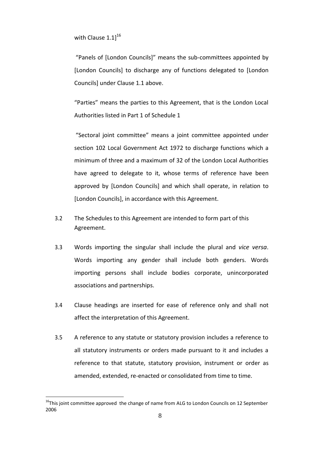with Clause  $1.1$ ] $^{16}$ 

"Panels of [London Councils]" means the sub-committees appointed by [London Councils] to discharge any of functions delegated to [London Councils] under Clause 1.1 above.

"Parties" means the parties to this Agreement, that is the London Local Authorities listed in Part 1 of Schedule 1

"Sectoral joint committee" means a joint committee appointed under section 102 Local Government Act 1972 to discharge functions which a minimum of three and a maximum of 32 of the London Local Authorities have agreed to delegate to it, whose terms of reference have been approved by [London Councils] and which shall operate, in relation to [London Councils], in accordance with this Agreement.

- 3.2 The Schedules to this Agreement are intended to form part of this Agreement.
- 3.3 Words importing the singular shall include the plural and *vice versa*. Words importing any gender shall include both genders. Words importing persons shall include bodies corporate, unincorporated associations and partnerships.
- 3.4 Clause headings are inserted for ease of reference only and shall not affect the interpretation of this Agreement.
- 3.5 A reference to any statute or statutory provision includes a reference to all statutory instruments or orders made pursuant to it and includes a reference to that statute, statutory provision, instrument or order as amended, extended, re-enacted or consolidated from time to time.

 $16$ This joint committee approved the change of name from ALG to London Councils on 12 September 2006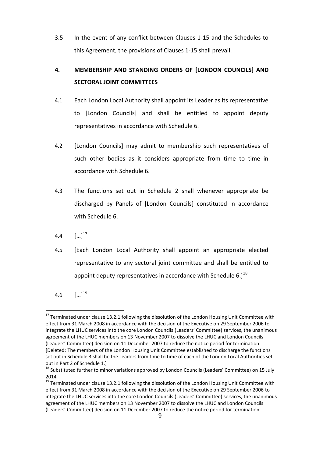3.5 In the event of any conflict between Clauses 1-15 and the Schedules to this Agreement, the provisions of Clauses 1-15 shall prevail.

# **4. MEMBERSHIP AND STANDING ORDERS OF [LONDON COUNCILS] AND SECTORAL JOINT COMMITTEES**

- 4.1 Each London Local Authority shall appoint its Leader as its representative to [London Councils] and shall be entitled to appoint deputy representatives in accordance with Schedule 6.
- 4.2 [London Councils] may admit to membership such representatives of such other bodies as it considers appropriate from time to time in accordance with Schedule 6.
- 4.3 The functions set out in Schedule 2 shall whenever appropriate be discharged by Panels of [London Councils] constituted in accordance with Schedule 6.
- $4.4$  $\left[ ... \right]^{17}$
- 4.5 [Each London Local Authority shall appoint an appropriate elected representative to any sectoral joint committee and shall be entitled to appoint deputy representatives in accordance with Schedule 6. $]^{18}$

4.6  $\left[ ...\right]^{19}$ 

 $\overline{a}$ <sup>17</sup> Terminated under clause 13.2.1 following the dissolution of the London Housing Unit Committee with effect from 31 March 2008 in accordance with the decision of the Executive on 29 September 2006 to integrate the LHUC services into the core London Councils (Leaders' Committee) services, the unanimous agreement of the LHUC members on 13 November 2007 to dissolve the LHUC and London Councils (Leaders' Committee) decision on 11 December 2007 to reduce the notice period for termination. [Deleted: The members of the London Housing Unit Committee established to discharge the functions set out in Schedule 3 shall be the Leaders from time to time of each of the London Local Authorities set out in Part 2 of Schedule 1.]

<sup>&</sup>lt;sup>18</sup> Substituted further to minor variations approved by London Councils (Leaders' Committee) on 15 July 2014

<sup>&</sup>lt;sup>19</sup> Terminated under clause 13.2.1 following the dissolution of the London Housing Unit Committee with effect from 31 March 2008 in accordance with the decision of the Executive on 29 September 2006 to integrate the LHUC services into the core London Councils (Leaders' Committee) services, the unanimous agreement of the LHUC members on 13 November 2007 to dissolve the LHUC and London Councils (Leaders' Committee) decision on 11 December 2007 to reduce the notice period for termination.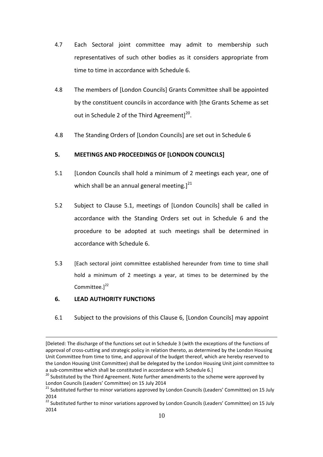- 4.7 Each Sectoral joint committee may admit to membership such representatives of such other bodies as it considers appropriate from time to time in accordance with Schedule 6.
- 4.8 The members of [London Councils] Grants Committee shall be appointed by the constituent councils in accordance with [the Grants Scheme as set out in Schedule 2 of the Third Agreement] $^{20}$ .
- 4.8 The Standing Orders of [London Councils] are set out in Schedule 6

## **5. MEETINGS AND PROCEEDINGS OF [LONDON COUNCILS]**

- 5.1 [London Councils shall hold a minimum of 2 meetings each year, one of which shall be an annual general meeting.] $^{21}$
- 5.2 Subject to Clause 5.1, meetings of [London Councils] shall be called in accordance with the Standing Orders set out in Schedule 6 and the procedure to be adopted at such meetings shall be determined in accordance with Schedule 6.
- 5.3 [Each sectoral joint committee established hereunder from time to time shall hold a minimum of 2 meetings a year, at times to be determined by the Committee. $]^{22}$

## **6. LEAD AUTHORITY FUNCTIONS**

 $\overline{a}$ 

6.1 Subject to the provisions of this Clause 6, [London Councils] may appoint

<sup>[</sup>Deleted: The discharge of the functions set out in Schedule 3 (with the exceptions of the functions of approval of cross-cutting and strategic policy in relation thereto, as determined by the London Housing Unit Committee from time to time, and approval of the budget thereof, which are hereby reserved to the London Housing Unit Committee) shall be delegated by the London Housing Unit joint committee to a sub-committee which shall be constituted in accordance with Schedule 6.]

 $20$  Substituted by the Third Agreement. Note further amendments to the scheme were approved by London Councils (Leaders' Committee) on 15 July 2014

<sup>&</sup>lt;sup>21</sup> Substituted further to minor variations approved by London Councils (Leaders' Committee) on 15 July 2014

<sup>22</sup> Substituted further to minor variations approved by London Councils (Leaders' Committee) on 15 July 2014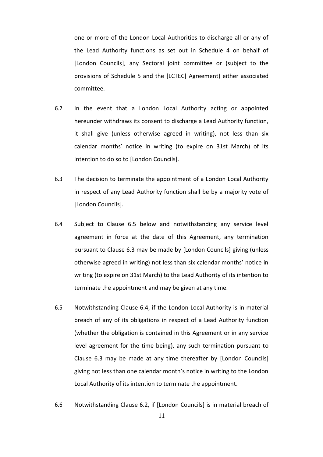one or more of the London Local Authorities to discharge all or any of the Lead Authority functions as set out in Schedule 4 on behalf of [London Councils], any Sectoral joint committee or (subject to the provisions of Schedule 5 and the [LCTEC] Agreement) either associated committee.

- 6.2 In the event that a London Local Authority acting or appointed hereunder withdraws its consent to discharge a Lead Authority function, it shall give (unless otherwise agreed in writing), not less than six calendar months' notice in writing (to expire on 31st March) of its intention to do so to [London Councils].
- 6.3 The decision to terminate the appointment of a London Local Authority in respect of any Lead Authority function shall be by a majority vote of [London Councils].
- 6.4 Subject to Clause 6.5 below and notwithstanding any service level agreement in force at the date of this Agreement, any termination pursuant to Clause 6.3 may be made by [London Councils] giving (unless otherwise agreed in writing) not less than six calendar months' notice in writing (to expire on 31st March) to the Lead Authority of its intention to terminate the appointment and may be given at any time.
- 6.5 Notwithstanding Clause 6.4, if the London Local Authority is in material breach of any of its obligations in respect of a Lead Authority function (whether the obligation is contained in this Agreement or in any service level agreement for the time being), any such termination pursuant to Clause 6.3 may be made at any time thereafter by [London Councils] giving not less than one calendar month's notice in writing to the London Local Authority of its intention to terminate the appointment.
- 6.6 Notwithstanding Clause 6.2, if [London Councils] is in material breach of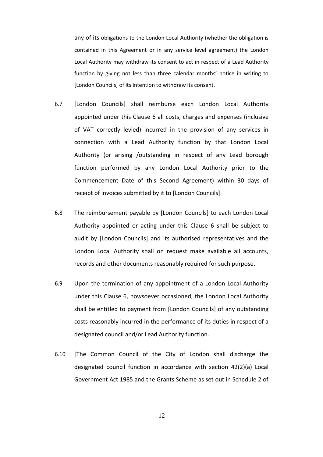any of its obligations to the London Local Authority (whether the obligation is contained in this Agreement or in any service level agreement) the London Local Authority may withdraw its consent to act in respect of a Lead Authority function by giving not less than three calendar months' notice in writing to [London Councils] of its intention to withdraw its consent.

- 6.7 [London Councils] shall reimburse each London Local Authority appointed under this Clause 6 all costs, charges and expenses (inclusive of VAT correctly levied) incurred in the provision of any services in connection with a Lead Authority function by that London Local Authority (or arising /outstanding in respect of any Lead borough function performed by any London Local Authority prior to the Commencement Date of this Second Agreement) within 30 days of receipt of invoices submitted by it to [London Councils]
- 6.8 The reimbursement payable by [London Councils] to each London Local Authority appointed or acting under this Clause 6 shall be subject to audit by [London Councils] and its authorised representatives and the London Local Authority shall on request make available all accounts, records and other documents reasonably required for such purpose.
- 6.9 Upon the termination of any appointment of a London Local Authority under this Clause 6, howsoever occasioned, the London Local Authority shall be entitled to payment from [London Councils] of any outstanding costs reasonably incurred in the performance of its duties in respect of a designated council and/or Lead Authority function.
- 6.10 [The Common Council of the City of London shall discharge the designated council function in accordance with section 42(2)(a) Local Government Act 1985 and the Grants Scheme as set out in Schedule 2 of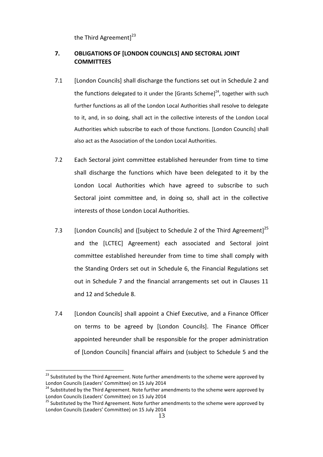the Third Agreement] $^{23}$ 

## **7. OBLIGATIONS OF [LONDON COUNCILS] AND SECTORAL JOINT COMMITTEES**

- 7.1 [London Councils] shall discharge the functions set out in Schedule 2 and the functions delegated to it under the [Grants Scheme]<sup>24</sup>, together with such further functions as all of the London Local Authorities shall resolve to delegate to it, and, in so doing, shall act in the collective interests of the London Local Authorities which subscribe to each of those functions. [London Councils] shall also act as the Association of the London Local Authorities.
- 7.2 Each Sectoral joint committee established hereunder from time to time shall discharge the functions which have been delegated to it by the London Local Authorities which have agreed to subscribe to such Sectoral joint committee and, in doing so, shall act in the collective interests of those London Local Authorities.
- 7.3 [London Councils] and ([subject to Schedule 2 of the Third Agreement]<sup>25</sup> and the [LCTEC] Agreement) each associated and Sectoral joint committee established hereunder from time to time shall comply with the Standing Orders set out in Schedule 6, the Financial Regulations set out in Schedule 7 and the financial arrangements set out in Clauses 11 and 12 and Schedule 8.
- 7.4 [London Councils] shall appoint a Chief Executive, and a Finance Officer on terms to be agreed by [London Councils]. The Finance Officer appointed hereunder shall be responsible for the proper administration of [London Councils] financial affairs and (subject to Schedule 5 and the

<sup>&</sup>lt;sup>23</sup> Substituted by the Third Agreement. Note further amendments to the scheme were approved by London Councils (Leaders' Committee) on 15 July 2014

<sup>&</sup>lt;sup>24</sup> Substituted by the Third Agreement. Note further amendments to the scheme were approved by London Councils (Leaders' Committee) on 15 July 2014

 $25$  Substituted by the Third Agreement. Note further amendments to the scheme were approved by London Councils (Leaders' Committee) on 15 July 2014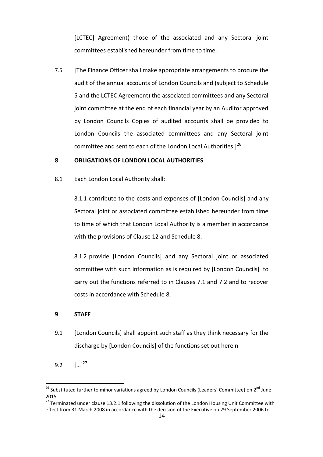[LCTEC] Agreement) those of the associated and any Sectoral joint committees established hereunder from time to time.

7.5 [The Finance Officer shall make appropriate arrangements to procure the audit of the annual accounts of London Councils and (subject to Schedule 5 and the LCTEC Agreement) the associated committees and any Sectoral joint committee at the end of each financial year by an Auditor approved by London Councils Copies of audited accounts shall be provided to London Councils the associated committees and any Sectoral joint committee and sent to each of the London Local Authorities.<sup>126</sup>

#### **8 OBLIGATIONS OF LONDON LOCAL AUTHORITIES**

8.1 Each London Local Authority shall:

8.1.1 contribute to the costs and expenses of [London Councils] and any Sectoral joint or associated committee established hereunder from time to time of which that London Local Authority is a member in accordance with the provisions of Clause 12 and Schedule 8.

8.1.2 provide [London Councils] and any Sectoral joint or associated committee with such information as is required by [London Councils] to carry out the functions referred to in Clauses 7.1 and 7.2 and to recover costs in accordance with Schedule 8.

#### **9 STAFF**

- 9.1 [London Councils] shall appoint such staff as they think necessary for the discharge by [London Councils] of the functions set out herein
- 9.2  $\left[ ...\right]^{27}$

<sup>&</sup>lt;sup>26</sup> Substituted further to minor variations agreed by London Councils (Leaders' Committee) on 2<sup>nd</sup> June 2015

 $27$  Terminated under clause 13.2.1 following the dissolution of the London Housing Unit Committee with effect from 31 March 2008 in accordance with the decision of the Executive on 29 September 2006 to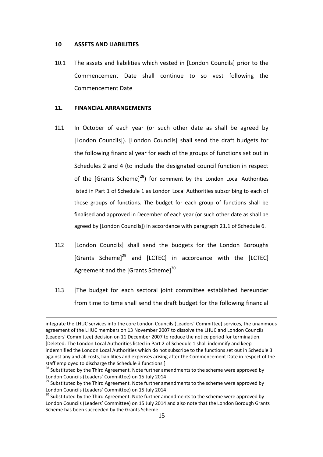#### **10 ASSETS AND LIABILITIES**

10.1 The assets and liabilities which vested in [London Councils] prior to the Commencement Date shall continue to so vest following the Commencement Date

#### **11. FINANCIAL ARRANGEMENTS**

- 11.1 In October of each year (or such other date as shall be agreed by [London Councils]). [London Councils] shall send the draft budgets for the following financial year for each of the groups of functions set out in Schedules 2 and 4 (to include the designated council function in respect of the [Grants Scheme]<sup>28</sup>) for comment by the London Local Authorities listed in Part 1 of Schedule 1 as London Local Authorities subscribing to each of those groups of functions. The budget for each group of functions shall be finalised and approved in December of each year (or such other date as shall be agreed by [London Councils]) in accordance with paragraph 21.1 of Schedule 6.
- 11.2 [London Councils] shall send the budgets for the London Boroughs [Grants Scheme]<sup>29</sup> and [LCTEC] in accordance with the [LCTEC] Agreement and the [Grants Scheme]<sup>30</sup>
- 11.3 [The budget for each sectoral joint committee established hereunder from time to time shall send the draft budget for the following financial

integrate the LHUC services into the core London Councils (Leaders' Committee) services, the unanimous agreement of the LHUC members on 13 November 2007 to dissolve the LHUC and London Councils (Leaders' Committee) decision on 11 December 2007 to reduce the notice period for termination. [Deleted: The London Local Authorities listed in Part 2 of Schedule 1 shall indemnify and keep indemnified the London Local Authorities which do not subscribe to the functions set out in Schedule 3 against any and all costs, liabilities and expenses arising after the Commencement Date in respect of the staff employed to discharge the Schedule 3 functions.]

<sup>&</sup>lt;sup>28</sup> Substituted by the Third Agreement. Note further amendments to the scheme were approved by London Councils (Leaders' Committee) on 15 July 2014

<sup>&</sup>lt;sup>29</sup> Substituted by the Third Agreement. Note further amendments to the scheme were approved by London Councils (Leaders' Committee) on 15 July 2014

 $30$  Substituted by the Third Agreement. Note further amendments to the scheme were approved by London Councils (Leaders' Committee) on 15 July 2014 and also note that the London Borough Grants Scheme has been succeeded by the Grants Scheme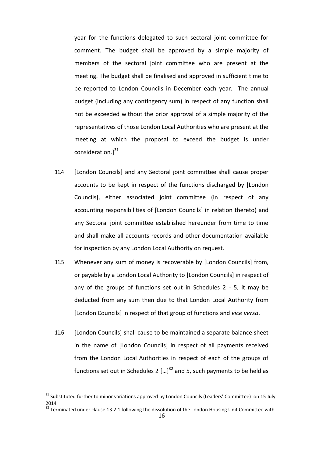year for the functions delegated to such sectoral joint committee for comment. The budget shall be approved by a simple majority of members of the sectoral joint committee who are present at the meeting. The budget shall be finalised and approved in sufficient time to be reported to London Councils in December each year. The annual budget (including any contingency sum) in respect of any function shall not be exceeded without the prior approval of a simple majority of the representatives of those London Local Authorities who are present at the meeting at which the proposal to exceed the budget is under consideration.] 31

- 11.4 [London Councils] and any Sectoral joint committee shall cause proper accounts to be kept in respect of the functions discharged by [London Councils], either associated joint committee (in respect of any accounting responsibilities of [London Councils] in relation thereto) and any Sectoral joint committee established hereunder from time to time and shall make all accounts records and other documentation available for inspection by any London Local Authority on request.
- 11.5 Whenever any sum of money is recoverable by [London Councils] from, or payable by a London Local Authority to [London Councils] in respect of any of the groups of functions set out in Schedules 2 - 5, it may be deducted from any sum then due to that London Local Authority from [London Councils] in respect of that group of functions and *vice versa*.
- 11.6 [London Councils] shall cause to be maintained a separate balance sheet in the name of [London Councils] in respect of all payments received from the London Local Authorities in respect of each of the groups of functions set out in Schedules 2  $\left[ \ldots \right]^{32}$  and 5, such payments to be held as

 $\overline{\phantom{a}}$ 

 $31$  Substituted further to minor variations approved by London Councils (Leaders' Committee) on 15 July 2014

 $32$  Terminated under clause 13.2.1 following the dissolution of the London Housing Unit Committee with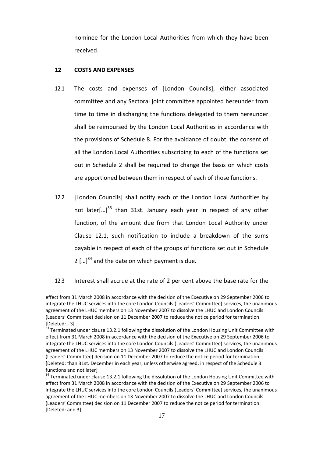nominee for the London Local Authorities from which they have been received.

#### **12 COSTS AND EXPENSES**

- 12.1 The costs and expenses of [London Councils], either associated committee and any Sectoral joint committee appointed hereunder from time to time in discharging the functions delegated to them hereunder shall be reimbursed by the London Local Authorities in accordance with the provisions of Schedule 8. For the avoidance of doubt, the consent of all the London Local Authorities subscribing to each of the functions set out in Schedule 2 shall be required to change the basis on which costs are apportioned between them in respect of each of those functions.
- 12.2 [London Councils] shall notify each of the London Local Authorities by not later[...]<sup>33</sup> than 31st. January each year in respect of any other function, of the amount due from that London Local Authority under Clause 12.1, such notification to include a breakdown of the sums payable in respect of each of the groups of functions set out in Schedule 2  $\left[ \ldots \right]^{34}$  and the date on which payment is due.
- 12.3 Interest shall accrue at the rate of 2 per cent above the base rate for the

effect from 31 March 2008 in accordance with the decision of the Executive on 29 September 2006 to integrate the LHUC services into the core London Councils (Leaders' Committee) services, the unanimous agreement of the LHUC members on 13 November 2007 to dissolve the LHUC and London Councils (Leaders' Committee) decision on 11 December 2007 to reduce the notice period for termination. [Deleted: - 3]

<sup>&</sup>lt;sup>33</sup> Terminated under clause 13.2.1 following the dissolution of the London Housing Unit Committee with effect from 31 March 2008 in accordance with the decision of the Executive on 29 September 2006 to integrate the LHUC services into the core London Councils (Leaders' Committee) services, the unanimous agreement of the LHUC members on 13 November 2007 to dissolve the LHUC and London Councils (Leaders' Committee) decision on 11 December 2007 to reduce the notice period for termination. [Deleted: than 31st. December in each year, unless otherwise agreed, in respect of the Schedule 3 functions and not later]

<sup>&</sup>lt;sup>34</sup> Terminated under clause 13.2.1 following the dissolution of the London Housing Unit Committee with effect from 31 March 2008 in accordance with the decision of the Executive on 29 September 2006 to integrate the LHUC services into the core London Councils (Leaders' Committee) services, the unanimous agreement of the LHUC members on 13 November 2007 to dissolve the LHUC and London Councils (Leaders' Committee) decision on 11 December 2007 to reduce the notice period for termination. [Deleted: and 3]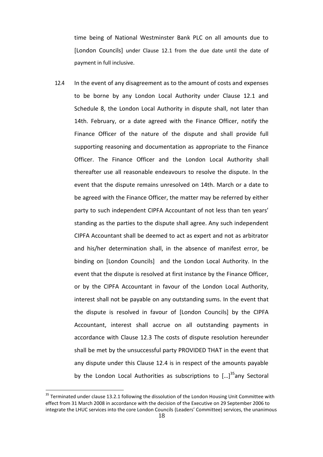time being of National Westminster Bank PLC on all amounts due to [London Councils] under Clause 12.1 from the due date until the date of payment in full inclusive.

12.4 In the event of any disagreement as to the amount of costs and expenses to be borne by any London Local Authority under Clause 12.1 and Schedule 8, the London Local Authority in dispute shall, not later than 14th. February, or a date agreed with the Finance Officer, notify the Finance Officer of the nature of the dispute and shall provide full supporting reasoning and documentation as appropriate to the Finance Officer. The Finance Officer and the London Local Authority shall thereafter use all reasonable endeavours to resolve the dispute. In the event that the dispute remains unresolved on 14th. March or a date to be agreed with the Finance Officer, the matter may be referred by either party to such independent CIPFA Accountant of not less than ten years' standing as the parties to the dispute shall agree. Any such independent CIPFA Accountant shall be deemed to act as expert and not as arbitrator and his/her determination shall, in the absence of manifest error, be binding on [London Councils] and the London Local Authority. In the event that the dispute is resolved at first instance by the Finance Officer, or by the CIPFA Accountant in favour of the London Local Authority, interest shall not be payable on any outstanding sums. In the event that the dispute is resolved in favour of [London Councils] by the CIPFA Accountant, interest shall accrue on all outstanding payments in accordance with Clause 12.3 The costs of dispute resolution hereunder shall be met by the unsuccessful party PROVIDED THAT in the event that any dispute under this Clause 12.4 is in respect of the amounts payable by the London Local Authorities as subscriptions to  $\left[ \ldots \right]^{35}$ any Sectoral

 $\overline{\phantom{a}}$ 

 $35$  Terminated under clause 13.2.1 following the dissolution of the London Housing Unit Committee with effect from 31 March 2008 in accordance with the decision of the Executive on 29 September 2006 to integrate the LHUC services into the core London Councils (Leaders' Committee) services, the unanimous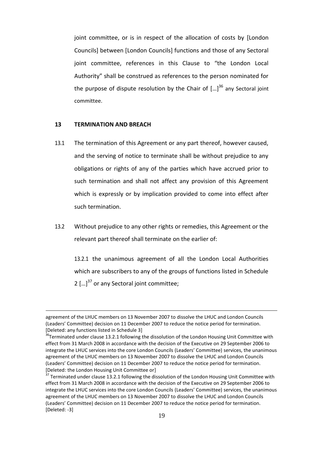joint committee, or is in respect of the allocation of costs by [London Councils] between [London Councils] functions and those of any Sectoral joint committee, references in this Clause to "the London Local Authority" shall be construed as references to the person nominated for the purpose of dispute resolution by the Chair of  $\left[...\right]^{36}$  any Sectoral joint committee.

#### **13 TERMINATION AND BREACH**

 $\overline{a}$ 

- 13.1 The termination of this Agreement or any part thereof, however caused, and the serving of notice to terminate shall be without prejudice to any obligations or rights of any of the parties which have accrued prior to such termination and shall not affect any provision of this Agreement which is expressly or by implication provided to come into effect after such termination.
- 13.2 Without prejudice to any other rights or remedies, this Agreement or the relevant part thereof shall terminate on the earlier of:

13.2.1 the unanimous agreement of all the London Local Authorities which are subscribers to any of the groups of functions listed in Schedule 2  $\left[ \ldots \right]^{37}$  or any Sectoral joint committee;

agreement of the LHUC members on 13 November 2007 to dissolve the LHUC and London Councils (Leaders' Committee) decision on 11 December 2007 to reduce the notice period for termination. [Deleted: any functions listed in Schedule 3]

 $36$ Terminated under clause 13.2.1 following the dissolution of the London Housing Unit Committee with effect from 31 March 2008 in accordance with the decision of the Executive on 29 September 2006 to integrate the LHUC services into the core London Councils (Leaders' Committee) services, the unanimous agreement of the LHUC members on 13 November 2007 to dissolve the LHUC and London Councils (Leaders' Committee) decision on 11 December 2007 to reduce the notice period for termination. [Deleted: the London Housing Unit Committee or]

Terminated under clause 13.2.1 following the dissolution of the London Housing Unit Committee with effect from 31 March 2008 in accordance with the decision of the Executive on 29 September 2006 to integrate the LHUC services into the core London Councils (Leaders' Committee) services, the unanimous agreement of the LHUC members on 13 November 2007 to dissolve the LHUC and London Councils (Leaders' Committee) decision on 11 December 2007 to reduce the notice period for termination. [Deleted: -3]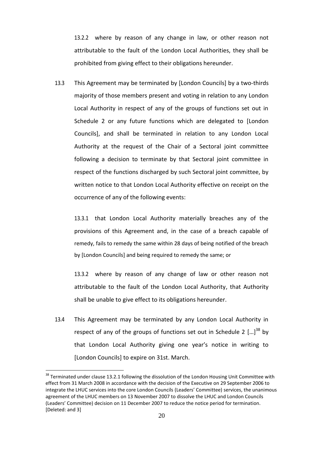13.2.2 where by reason of any change in law, or other reason not attributable to the fault of the London Local Authorities, they shall be prohibited from giving effect to their obligations hereunder.

13.3 This Agreement may be terminated by [London Councils] by a two-thirds majority of those members present and voting in relation to any London Local Authority in respect of any of the groups of functions set out in Schedule 2 or any future functions which are delegated to [London Councils], and shall be terminated in relation to any London Local Authority at the request of the Chair of a Sectoral joint committee following a decision to terminate by that Sectoral joint committee in respect of the functions discharged by such Sectoral joint committee, by written notice to that London Local Authority effective on receipt on the occurrence of any of the following events:

13.3.1 that London Local Authority materially breaches any of the provisions of this Agreement and, in the case of a breach capable of remedy, fails to remedy the same within 28 days of being notified of the breach by [London Councils] and being required to remedy the same; or

13.3.2 where by reason of any change of law or other reason not attributable to the fault of the London Local Authority, that Authority shall be unable to give effect to its obligations hereunder.

13.4 This Agreement may be terminated by any London Local Authority in respect of any of the groups of functions set out in Schedule 2  $\left[ ... \right]^{38}$  by that London Local Authority giving one year's notice in writing to [London Councils] to expire on 31st. March.

 $38$  Terminated under clause 13.2.1 following the dissolution of the London Housing Unit Committee with effect from 31 March 2008 in accordance with the decision of the Executive on 29 September 2006 to integrate the LHUC services into the core London Councils (Leaders' Committee) services, the unanimous agreement of the LHUC members on 13 November 2007 to dissolve the LHUC and London Councils (Leaders' Committee) decision on 11 December 2007 to reduce the notice period for termination. [Deleted: and 3]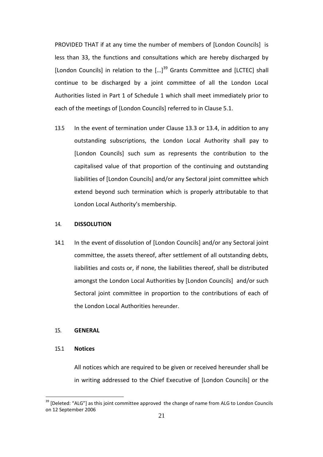PROVIDED THAT if at any time the number of members of [London Councils] is less than 33, the functions and consultations which are hereby discharged by [London Councils] in relation to the  $\left[...\right]^{39}$  Grants Committee and [LCTEC] shall continue to be discharged by a joint committee of all the London Local Authorities listed in Part 1 of Schedule 1 which shall meet immediately prior to each of the meetings of [London Councils] referred to in Clause 5.1.

13.5 In the event of termination under Clause 13.3 or 13.4, in addition to any outstanding subscriptions, the London Local Authority shall pay to [London Councils] such sum as represents the contribution to the capitalised value of that proportion of the continuing and outstanding liabilities of [London Councils] and/or any Sectoral joint committee which extend beyond such termination which is properly attributable to that London Local Authority's membership.

#### 14. **DISSOLUTION**

14.1 In the event of dissolution of [London Councils] and/or any Sectoral joint committee, the assets thereof, after settlement of all outstanding debts, liabilities and costs or, if none, the liabilities thereof, shall be distributed amongst the London Local Authorities by [London Councils] and/or such Sectoral joint committee in proportion to the contributions of each of the London Local Authorities hereunder.

#### 15. **GENERAL**

#### 15.1 **Notices**

 $\overline{a}$ 

All notices which are required to be given or received hereunder shall be in writing addressed to the Chief Executive of [London Councils] or the

 $39$  [Deleted: "ALG"] as this joint committee approved the change of name from ALG to London Councils on 12 September 2006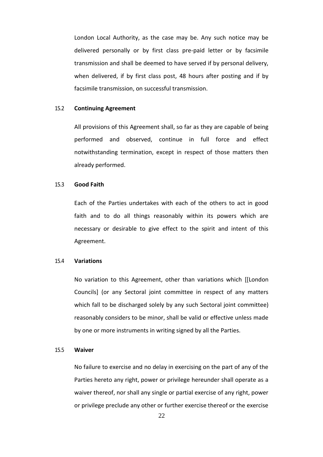London Local Authority, as the case may be. Any such notice may be delivered personally or by first class pre-paid letter or by facsimile transmission and shall be deemed to have served if by personal delivery, when delivered, if by first class post, 48 hours after posting and if by facsimile transmission, on successful transmission.

#### 15.2 **Continuing Agreement**

All provisions of this Agreement shall, so far as they are capable of being performed and observed, continue in full force and effect notwithstanding termination, except in respect of those matters then already performed.

#### 15.3 **Good Faith**

Each of the Parties undertakes with each of the others to act in good faith and to do all things reasonably within its powers which are necessary or desirable to give effect to the spirit and intent of this Agreement.

#### 15.4 **Variations**

No variation to this Agreement, other than variations which [[London Councils] (or any Sectoral joint committee in respect of any matters which fall to be discharged solely by any such Sectoral joint committee) reasonably considers to be minor, shall be valid or effective unless made by one or more instruments in writing signed by all the Parties.

#### 15.5 **Waiver**

No failure to exercise and no delay in exercising on the part of any of the Parties hereto any right, power or privilege hereunder shall operate as a waiver thereof, nor shall any single or partial exercise of any right, power or privilege preclude any other or further exercise thereof or the exercise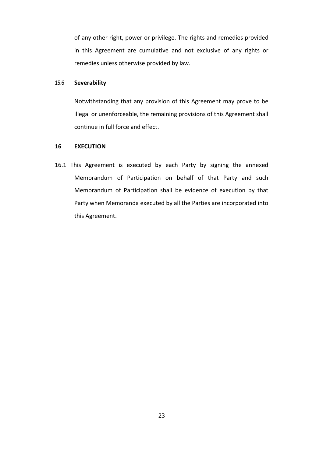of any other right, power or privilege. The rights and remedies provided in this Agreement are cumulative and not exclusive of any rights or remedies unless otherwise provided by law.

#### 15.6 **Severability**

Notwithstanding that any provision of this Agreement may prove to be illegal or unenforceable, the remaining provisions of this Agreement shall continue in full force and effect.

#### **16 EXECUTION**

16.1 This Agreement is executed by each Party by signing the annexed Memorandum of Participation on behalf of that Party and such Memorandum of Participation shall be evidence of execution by that Party when Memoranda executed by all the Parties are incorporated into this Agreement.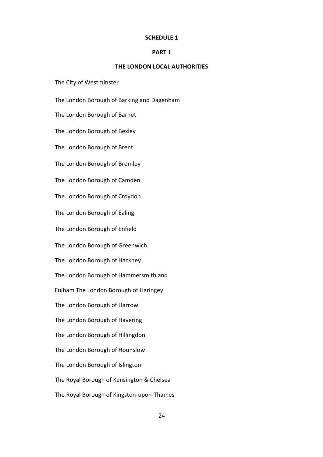#### **PART 1**

#### **THE LONDON LOCAL AUTHORITIES**

The City of Westminster

The London Borough of Barking and Dagenham

The London Borough of Barnet

The London Borough of Bexley

The London Borough of Brent

The London Borough of Bromley

The London Borough of Camden

The London Borough of Croydon

The London Borough of Ealing

The London Borough of Enfield

The London Borough of Greenwich

The London Borough of Hackney

The London Borough of Hammersmith and

Fulham The London Borough of Haringey

The London Borough of Harrow

The London Borough of Havering

The London Borough of Hillingdon

The London Borough of Hounslow

The London Borough of Islington

The Royal Borough of Kensington & Chelsea

The Royal Borough of Kingston-upon-Thames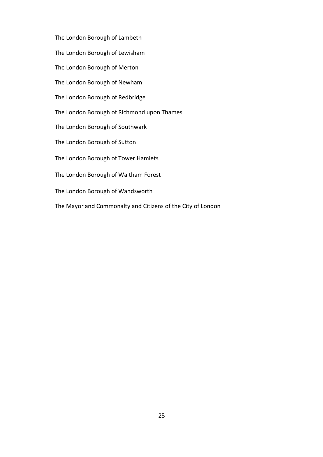The London Borough of Lambeth

The London Borough of Lewisham

The London Borough of Merton

The London Borough of Newham

The London Borough of Redbridge

The London Borough of Richmond upon Thames

The London Borough of Southwark

The London Borough of Sutton

The London Borough of Tower Hamlets

The London Borough of Waltham Forest

The London Borough of Wandsworth

The Mayor and Commonalty and Citizens of the City of London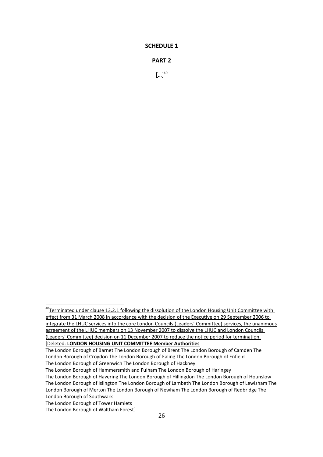#### **PART 2**

**[**…] 40

<sup>&</sup>lt;sup>40</sup>Terminated under clause 13.2.1 following the dissolution of the London Housing Unit Committee with effect from 31 March 2008 in accordance with the decision of the Executive on 29 September 2006 to integrate the LHUC services into the core London Councils (Leaders' Committee) services, the unanimous agreement of the LHUC members on 13 November 2007 to dissolve the LHUC and London Councils (Leaders' Committee) decision on 11 December 2007 to reduce the notice period for termination. [Deleted: **LONDON HOUSING UNIT COMMITTEE Member Authorities**

The London Borough of Barnet The London Borough of Brent The London Borough of Camden The London Borough of Croydon The London Borough of Ealing The London Borough of Enfield The London Borough of Greenwich The London Borough of Hackney

The London Borough of Hammersmith and Fulham The London Borough of Haringey

The London Borough of Havering The London Borough of Hillingdon The London Borough of Hounslow The London Borough of Islington The London Borough of Lambeth The London Borough of Lewisham The London Borough of Merton The London Borough of Newham The London Borough of Redbridge The London Borough of Southwark

The London Borough of Tower Hamlets

The London Borough of Waltham Forest]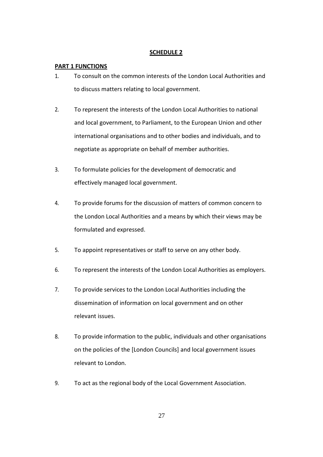## **PART 1 FUNCTIONS**

- 1. To consult on the common interests of the London Local Authorities and to discuss matters relating to local government.
- 2. To represent the interests of the London Local Authorities to national and local government, to Parliament, to the European Union and other international organisations and to other bodies and individuals, and to negotiate as appropriate on behalf of member authorities.
- 3. To formulate policies for the development of democratic and effectively managed local government.
- 4. To provide forums for the discussion of matters of common concern to the London Local Authorities and a means by which their views may be formulated and expressed.
- 5. To appoint representatives or staff to serve on any other body.
- 6. To represent the interests of the London Local Authorities as employers.
- 7. To provide services to the London Local Authorities including the dissemination of information on local government and on other relevant issues.
- 8. To provide information to the public, individuals and other organisations on the policies of the [London Councils] and local government issues relevant to London.
- 9. To act as the regional body of the Local Government Association.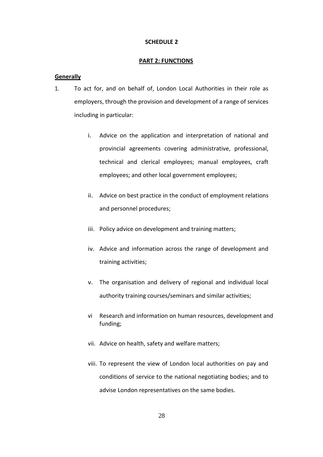#### **PART 2: FUNCTIONS**

#### **Generally**

- 1. To act for, and on behalf of, London Local Authorities in their role as employers, through the provision and development of a range of services including in particular:
	- i. Advice on the application and interpretation of national and provincial agreements covering administrative, professional, technical and clerical employees; manual employees, craft employees; and other local government employees;
	- ii. Advice on best practice in the conduct of employment relations and personnel procedures;
	- iii. Policy advice on development and training matters;
	- iv. Advice and information across the range of development and training activities;
	- v. The organisation and delivery of regional and individual local authority training courses/seminars and similar activities;
	- vi Research and information on human resources, development and funding;
	- vii. Advice on health, safety and welfare matters;
	- viii. To represent the view of London local authorities on pay and conditions of service to the national negotiating bodies; and to advise London representatives on the same bodies.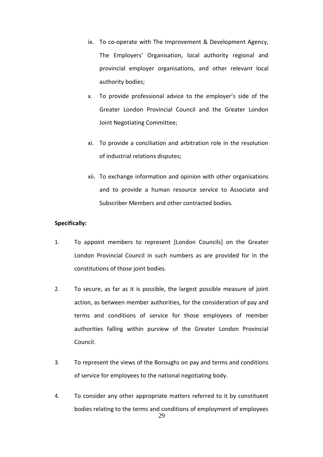- ix. To co-operate with The Improvement & Development Agency, The Employers' Organisation, local authority regional and provincial employer organisations, and other relevant local authority bodies;
- x. To provide professional advice to the employer's side of the Greater London Provincial Council and the Greater London Joint Negotiating Committee;
- xi. To provide a conciliation and arbitration role in the resolution of industrial relations disputes;
- xii. To exchange information and opinion with other organisations and to provide a human resource service to Associate and Subscriber Members and other contracted bodies.

#### **Specifically:**

- 1. To appoint members to represent [London Councils] on the Greater London Provincial Council in such numbers as are provided for in the constitutions of those joint bodies.
- 2. To secure, as far as it is possible, the largest possible measure of joint action, as between member authorities, for the consideration of pay and terms and conditions of service for those employees of member authorities falling within purview of the Greater London Provincial Council.
- 3. To represent the views of the Boroughs on pay and terms and conditions of service for employees to the national negotiating body.
- 4. To consider any other appropriate matters referred to it by constituent bodies relating to the terms and conditions of employment of employees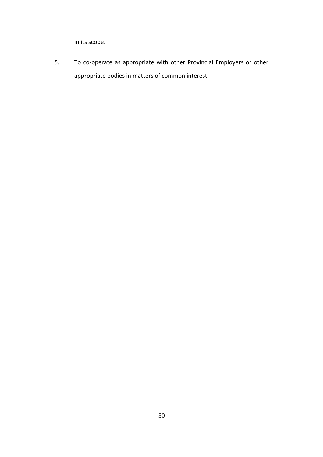in its scope.

5. To co-operate as appropriate with other Provincial Employers or other appropriate bodies in matters of common interest.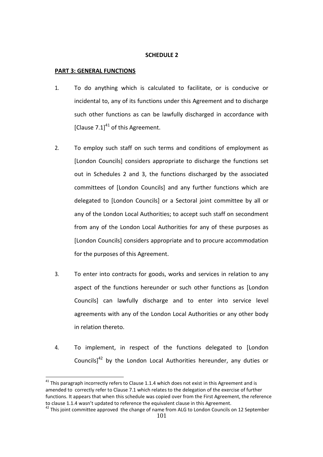#### **PART 3: GENERAL FUNCTIONS**

 $\overline{\phantom{a}}$ 

- 1. To do anything which is calculated to facilitate, or is conducive or incidental to, any of its functions under this Agreement and to discharge such other functions as can be lawfully discharged in accordance with [Clause 7.1] $41$  of this Agreement.
- 2. To employ such staff on such terms and conditions of employment as [London Councils] considers appropriate to discharge the functions set out in Schedules 2 and 3, the functions discharged by the associated committees of [London Councils] and any further functions which are delegated to [London Councils] or a Sectoral joint committee by all or any of the London Local Authorities; to accept such staff on secondment from any of the London Local Authorities for any of these purposes as [London Councils] considers appropriate and to procure accommodation for the purposes of this Agreement.
- 3. To enter into contracts for goods, works and services in relation to any aspect of the functions hereunder or such other functions as [London Councils] can lawfully discharge and to enter into service level agreements with any of the London Local Authorities or any other body in relation thereto.
- 4. To implement, in respect of the functions delegated to [London Councils] $^{42}$  by the London Local Authorities hereunder, any duties or

 $41$  This paragraph incorrectly refers to Clause 1.1.4 which does not exist in this Agreement and is amended to correctly refer to Clause 7.1 which relates to the delegation of the exercise of further functions. It appears that when this schedule was copied over from the First Agreement, the reference to clause 1.1.4 wasn't updated to reference the equivalent clause in this Agreement.

 $42$  This joint committee approved the change of name from ALG to London Councils on 12 September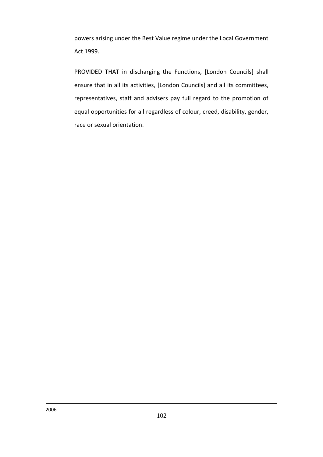powers arising under the Best Value regime under the Local Government Act 1999.

PROVIDED THAT in discharging the Functions, [London Councils] shall ensure that in all its activities, [London Councils] and all its committees, representatives, staff and advisers pay full regard to the promotion of equal opportunities for all regardless of colour, creed, disability, gender, race or sexual orientation.

 $\overline{\phantom{a}}$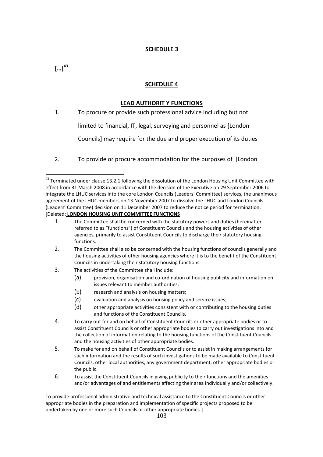## $\left[ ... \right]^{43}$

## **SCHEDULE 4**

#### **LEAD AUTHORIT Y FUNCTIONS**

1. To procure or provide such professional advice including but not

limited to financial, IT, legal, surveying and personnel as [London

Councils] may require for the due and proper execution of its duties

2. To provide or procure accommodation for the purposes of [London

- 2. The Committee shall also be concerned with the housing functions of councils generally and the housing activities of other housing agencies where it is to the benefit of the Constituent Councils in undertaking their statutory housing functions.
- 3. The activities of the Committee shall include:
	- (a) provision, organisation and co-ordination of housing publicity and information on issues relevant to member authorities;
	- (b) research and analysis on housing matters;
	- (c) evaluation and analysis on housing policy and service issues;
	- (d) other appropriate activities consistent with or contributing to the housing duties and functions of the Constituent Councils.
- 4. To carry out for and on behalf of Constituent Councils or other appropriate bodies or to assist Constituent Councils or other appropriate bodies to carry out investigations into and the collection of information relating to the housing functions of the Constituent Councils and the housing activities of other appropriate bodies.
- 5. To make for and on behalf of Constituent Councils or to assist in making arrangements for such information and the results of such investigations to be made available to Constituent Councils, other local authorities, any government department, other appropriate bodies or the public.
- 6. To assist the Constituent Councils in giving publicity to their functions and the amenities and/or advantages of and entitlements affecting their area individually and/or collectively.

To provide professional administrative and technical assistance to the Constituent Councils or other appropriate bodies in the preparation and implementation of specific projects proposed to be undertaken by one or more such Councils or other appropriate bodies.]

 $\overline{a}$  $43$  Terminated under clause 13.2.1 following the dissolution of the London Housing Unit Committee with effect from 31 March 2008 in accordance with the decision of the Executive on 29 September 2006 to integrate the LHUC services into the core London Councils (Leaders' Committee) services, the unanimous agreement of the LHUC members on 13 November 2007 to dissolve the LHUC and London Councils (Leaders' Committee) decision on 11 December 2007 to reduce the notice period for termination. [Deleted: **LONDON HOUSING UNIT COMMITTEE FUNCTIONS**

<sup>1.</sup> The Committee shall be concerned with the statutory powers and duties (hereinafter referred to as "functions") of Constituent Councils and the housing activities of other agencies, primarily to assist Constituent Councils to discharge their statutory housing functions.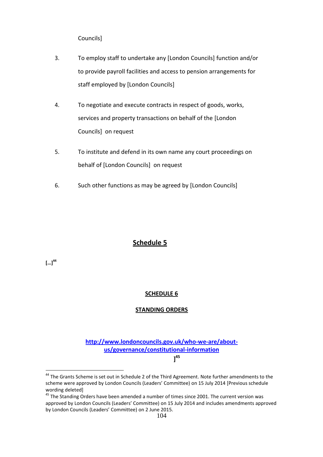Councils]

- 3. To employ staff to undertake any [London Councils] function and/or to provide payroll facilities and access to pension arrangements for staff employed by [London Councils]
- 4. To negotiate and execute contracts in respect of goods, works, services and property transactions on behalf of the [London Councils] on request
- 5. To institute and defend in its own name any court proceedings on behalf of [London Councils] on request
- 6. Such other functions as may be agreed by [London Councils]

## **Schedule 5**

 $\left[ ... \right]^{44}$ 

 $\overline{a}$ 

## **SCHEDULE 6**

## **STANDING ORDERS**

**[http://www.londoncouncils.gov.uk/who-we-are/about](http://www.londoncouncils.gov.uk/who-we-are/about-us/governance/constitutional-information)[us/governance/constitutional-information](http://www.londoncouncils.gov.uk/who-we-are/about-us/governance/constitutional-information)**

**] 45**

<sup>&</sup>lt;sup>44</sup> The Grants Scheme is set out in Schedule 2 of the Third Agreement. Note further amendments to the scheme were approved by London Councils (Leaders' Committee) on 15 July 2014 [Previous schedule wording deleted]

<sup>45</sup> The Standing Orders have been amended a number of times since 2001. The current version was approved by London Councils (Leaders' Committee) on 15 July 2014 and includes amendments approved by London Councils (Leaders' Committee) on 2 June 2015.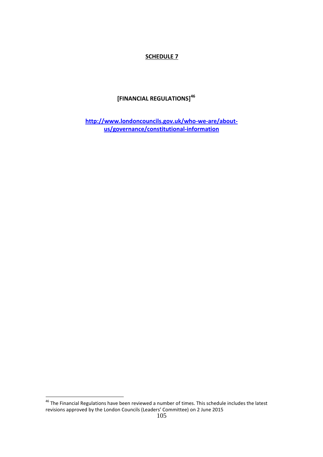## **[FINANCIAL REGULATIONS] 46**

**[http://www.londoncouncils.gov.uk/who-we-are/about](http://www.londoncouncils.gov.uk/who-we-are/about-us/governance/constitutional-information)[us/governance/constitutional-information](http://www.londoncouncils.gov.uk/who-we-are/about-us/governance/constitutional-information)**

 $^{46}$  The Financial Regulations have been reviewed a number of times. This schedule includes the latest revisions approved by the London Councils (Leaders' Committee) on 2 June 2015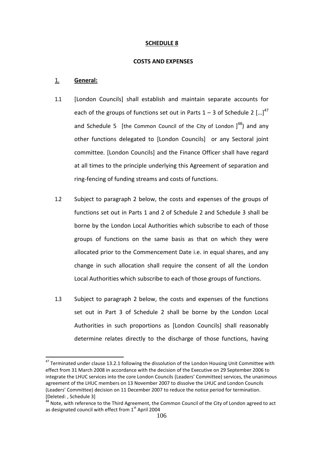#### **COSTS AND EXPENSES**

#### 1. **General:**

- 1.1 [London Councils] shall establish and maintain separate accounts for each of the groups of functions set out in Parts  $1 - 3$  of Schedule 2 [...]<sup>47</sup> and Schedule 5 [the Common Council of the City of London  $j^{48}$ ) and any other functions delegated to [London Councils] or any Sectoral joint committee. [London Councils] and the Finance Officer shall have regard at all times to the principle underlying this Agreement of separation and ring-fencing of funding streams and costs of functions.
- 1.2 Subject to paragraph 2 below, the costs and expenses of the groups of functions set out in Parts 1 and 2 of Schedule 2 and Schedule 3 shall be borne by the London Local Authorities which subscribe to each of those groups of functions on the same basis as that on which they were allocated prior to the Commencement Date i.e. in equal shares, and any change in such allocation shall require the consent of all the London Local Authorities which subscribe to each of those groups of functions.
- 1.3 Subject to paragraph 2 below, the costs and expenses of the functions set out in Part 3 of Schedule 2 shall be borne by the London Local Authorities in such proportions as [London Councils] shall reasonably determine relates directly to the discharge of those functions, having

<sup>&</sup>lt;sup>47</sup> Terminated under clause 13.2.1 following the dissolution of the London Housing Unit Committee with effect from 31 March 2008 in accordance with the decision of the Executive on 29 September 2006 to integrate the LHUC services into the core London Councils (Leaders' Committee) services, the unanimous agreement of the LHUC members on 13 November 2007 to dissolve the LHUC and London Councils (Leaders' Committee) decision on 11 December 2007 to reduce the notice period for termination. [Deleted: , Schedule 3]

<sup>&</sup>lt;sup>48</sup> Note, with reference to the Third Agreement, the Common Council of the City of London agreed to act as designated council with effect from 1<sup>st</sup> April 2004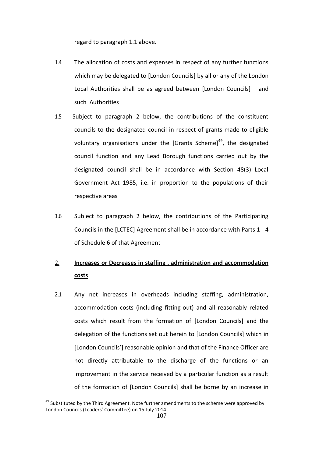regard to paragraph 1.1 above.

- 1.4 The allocation of costs and expenses in respect of any further functions which may be delegated to [London Councils] by all or any of the London Local Authorities shall be as agreed between [London Councils] and such Authorities
- 1.5 Subject to paragraph 2 below, the contributions of the constituent councils to the designated council in respect of grants made to eligible voluntary organisations under the [Grants Scheme]<sup>49</sup>, the designated council function and any Lead Borough functions carried out by the designated council shall be in accordance with Section 48(3) Local Government Act 1985, i.e. in proportion to the populations of their respective areas
- 1.6 Subject to paragraph 2 below, the contributions of the Participating Councils in the [LCTEC] Agreement shall be in accordance with Parts 1 - 4 of Schedule 6 of that Agreement

# 2. **Increases or Decreases in staffing , administration and accommodation costs**

2.1 Any net increases in overheads including staffing, administration, accommodation costs (including fitting-out) and all reasonably related costs which result from the formation of [London Councils] and the delegation of the functions set out herein to [London Councils] which in [London Councils'] reasonable opinion and that of the Finance Officer are not directly attributable to the discharge of the functions or an improvement in the service received by a particular function as a result of the formation of [London Councils] shall be borne by an increase in

 $49$  Substituted by the Third Agreement. Note further amendments to the scheme were approved by London Councils (Leaders' Committee) on 15 July 2014